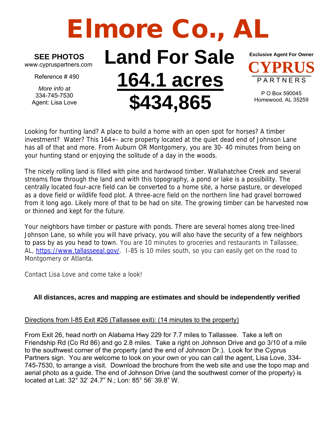## Elmore Co., A

**SEE PHOTOS**

www.cypruspartners.com

Reference # 490

*More info at* 334-745-7530 Agent: Lisa Love

## **Land For Sale 164.1 acres \$434,865**



P O Box 590045 Homewood, AL 35259

Looking for hunting land? A place to build a home with an open spot for horses? A timber investment? Water? This 164+- acre property located at the quiet dead end of Johnson Lane has all of that and more. From Auburn OR Montgomery, you are 30- 40 minutes from being on your hunting stand or enjoying the solitude of a day in the woods.

The nicely rolling land is filled with pine and hardwood timber. Wallahatchee Creek and several streams flow through the land and with this topography, a pond or lake is a possibility. The centrally located four-acre field can be converted to a home site, a horse pasture, or developed as a dove field or wildlife food plot. A three-acre field on the northern line had gravel borrowed from it long ago. Likely more of that to be had on site. The growing timber can be harvested now or thinned and kept for the future.

Your neighbors have timber or pasture with ponds. There are several homes along tree-lined Johnson Lane, so while you will have privacy, you will also have the security of a few neighbors to pass by as you head to town. You are 10 minutes to groceries and restaurants in Tallassee, AL, [https://www.tallasseeal.gov/.](https://www.tallasseeal.gov/) I-85 is 10 miles south, so you can easily get on the road to Montgomery or Atlanta.

Contact Lisa Love and come take a look!

## **All distances, acres and mapping are estimates and should be independently verified**

## Directions from I-85 Exit #26 (Tallassee exit): (14 minutes to the property)

From Exit 26, head north on Alabama Hwy 229 for 7.7 miles to Tallassee. Take a left on Friendship Rd (Co Rd 86) and go 2.8 miles. Take a right on Johnson Drive and go 3/10 of a mile to the southwest corner of the property (and the end of Johnson Dr.). Look for the Cyprus Partners sign. You are welcome to look on your own or you can call the agent, Lisa Love, 334- 745-7530, to arrange a visit. Download the brochure from the web site and use the topo map and aerial photo as a guide. The end of Johnson Drive (and the southwest corner of the property) is located at Lat: 32° 32' 24.7" N.; Lon: 85° 56' 39.8" W.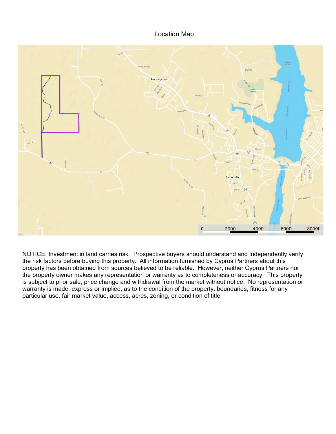Location Map



NOTICE: Investment in land carries risk. Prospective buyers should understand and independently verify the risk factors before buying this property. All information furnished by Cyprus Partners about this property has been obtained from sources believed to be reliable. However, neither Cyprus Partners nor the property owner makes any representation or warranty as to completeness or accuracy. This property is subject to prior sale, price change and withdrawal from the market without notice. No representation or warranty is made, express or implied, as to the condition of the property, boundaries, fitness for any particular use, fair market value, access, acres, zoning, or condition of title.